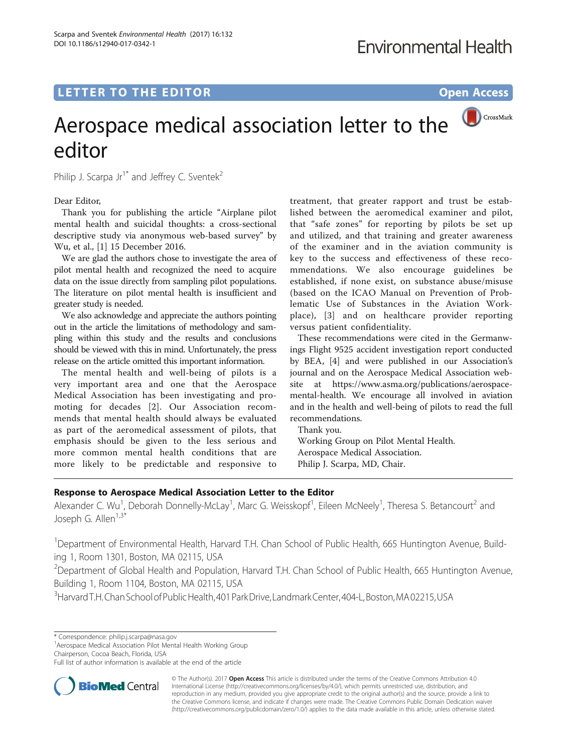# **LETTER TO THE EDITOR CONSIDERING ACCESS**

# CrossMark Aerospace medical association letter to the editor

Philip J. Scarpa  $Jr^{\dagger*}$  and Jeffrey C. Sventek<sup>2</sup>

Dear Editor,

Thank you for publishing the article "Airplane pilot mental health and suicidal thoughts: a cross-sectional descriptive study via anonymous web-based survey" by Wu, et al., [[1\]](#page-1-0) 15 December 2016.

We are glad the authors chose to investigate the area of pilot mental health and recognized the need to acquire data on the issue directly from sampling pilot populations. The literature on pilot mental health is insufficient and greater study is needed.

We also acknowledge and appreciate the authors pointing out in the article the limitations of methodology and sampling within this study and the results and conclusions should be viewed with this in mind. Unfortunately, the press release on the article omitted this important information.

The mental health and well-being of pilots is a very important area and one that the Aerospace Medical Association has been investigating and promoting for decades [\[2](#page-1-0)]. Our Association recommends that mental health should always be evaluated as part of the aeromedical assessment of pilots, that emphasis should be given to the less serious and more common mental health conditions that are more likely to be predictable and responsive to

treatment, that greater rapport and trust be established between the aeromedical examiner and pilot, that "safe zones" for reporting by pilots be set up and utilized, and that training and greater awareness of the examiner and in the aviation community is key to the success and effectiveness of these recommendations. We also encourage guidelines be established, if none exist, on substance abuse/misuse (based on the ICAO Manual on Prevention of Problematic Use of Substances in the Aviation Workplace), [[3\]](#page-1-0) and on healthcare provider reporting versus patient confidentiality.

These recommendations were cited in the Germanwings Flight 9525 accident investigation report conducted by BEA, [\[4](#page-1-0)] and were published in our Association's journal and on the Aerospace Medical Association website at [https://www.asma.org/publications/aerospace](https://www.asma.org/publications/aerospace-mental-health)[mental-health.](https://www.asma.org/publications/aerospace-mental-health) We encourage all involved in aviation and in the health and well-being of pilots to read the full recommendations.

Thank you. Working Group on Pilot Mental Health. Aerospace Medical Association. Philip J. Scarpa, MD, Chair.

## Response to Aerospace Medical Association Letter to the Editor

Alexander C. Wu<sup>1</sup>, Deborah Donnelly-McLay<sup>1</sup>, Marc G. Weisskopf<sup>1</sup>, Eileen McNeely<sup>1</sup>, Theresa S. Betancourt<sup>2</sup> and Joseph G. Allen<sup>1,3\*</sup>

<sup>1</sup>Department of Environmental Health, Harvard T.H. Chan School of Public Health, 665 Huntington Avenue, Building 1, Room 1301, Boston, MA 02115, USA

<sup>2</sup>Department of Global Health and Population, Harvard T.H. Chan School of Public Health, 665 Huntington Avenue, Building 1, Room 1104, Boston, MA 02115, USA

3 HarvardT.H.ChanSchoolofPublicHealth,401 ParkDrive,LandmarkCenter,404-L, Boston,MA02215,USA

<sup>1</sup> Aerospace Medical Association Pilot Mental Health Working Group Chairperson, Cocoa Beach, Florida, USA

Full list of author information is available at the end of the article



© The Author(s). 2017 **Open Access** This article is distributed under the terms of the Creative Commons Attribution 4.0 International License [\(http://creativecommons.org/licenses/by/4.0/](http://creativecommons.org/licenses/by/4.0/)), which permits unrestricted use, distribution, and reproduction in any medium, provided you give appropriate credit to the original author(s) and the source, provide a link to the Creative Commons license, and indicate if changes were made. The Creative Commons Public Domain Dedication waiver [\(http://creativecommons.org/publicdomain/zero/1.0/](http://creativecommons.org/publicdomain/zero/1.0/)) applies to the data made available in this article, unless otherwise stated.

<sup>\*</sup> Correspondence: [philip.j.scarpa@nasa.gov](mailto:philip.j.scarpa@nasa.gov) <sup>1</sup>